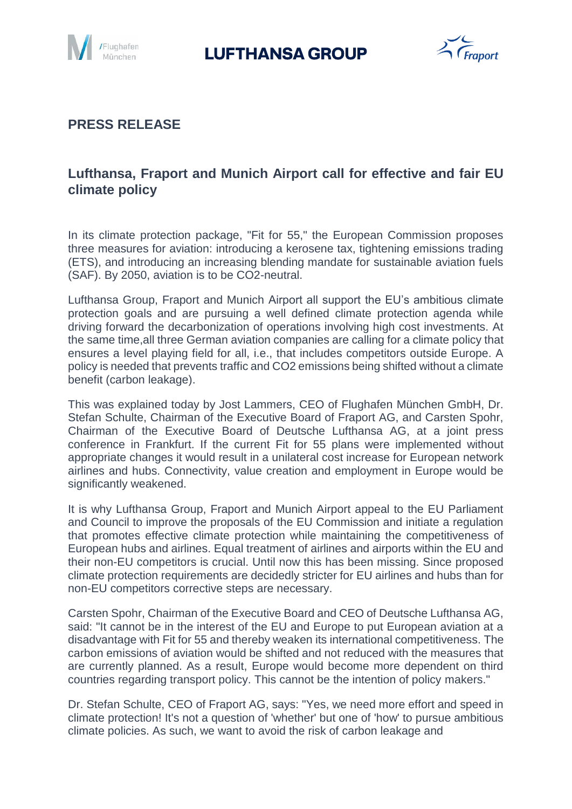

# **LUFTHANSA GROUP**



### **PRESS RELEASE**

## **Lufthansa, Fraport and Munich Airport call for effective and fair EU climate policy**

In its climate protection package, "Fit for 55," the European Commission proposes three measures for aviation: introducing a kerosene tax, tightening emissions trading (ETS), and introducing an increasing blending mandate for sustainable aviation fuels (SAF). By 2050, aviation is to be CO2-neutral.

Lufthansa Group, Fraport and Munich Airport all support the EU's ambitious climate protection goals and are pursuing a well defined climate protection agenda while driving forward the decarbonization of operations involving high cost investments. At the same time,all three German aviation companies are calling for a climate policy that ensures a level playing field for all, i.e., that includes competitors outside Europe. A policy is needed that prevents traffic and CO2 emissions being shifted without a climate benefit (carbon leakage).

This was explained today by Jost Lammers, CEO of Flughafen München GmbH, Dr. Stefan Schulte, Chairman of the Executive Board of Fraport AG, and Carsten Spohr, Chairman of the Executive Board of Deutsche Lufthansa AG, at a joint press conference in Frankfurt. If the current Fit for 55 plans were implemented without appropriate changes it would result in a unilateral cost increase for European network airlines and hubs. Connectivity, value creation and employment in Europe would be significantly weakened.

It is why Lufthansa Group, Fraport and Munich Airport appeal to the EU Parliament and Council to improve the proposals of the EU Commission and initiate a regulation that promotes effective climate protection while maintaining the competitiveness of European hubs and airlines. Equal treatment of airlines and airports within the EU and their non-EU competitors is crucial. Until now this has been missing. Since proposed climate protection requirements are decidedly stricter for EU airlines and hubs than for non-EU competitors corrective steps are necessary.

Carsten Spohr, Chairman of the Executive Board and CEO of Deutsche Lufthansa AG, said: "It cannot be in the interest of the EU and Europe to put European aviation at a disadvantage with Fit for 55 and thereby weaken its international competitiveness. The carbon emissions of aviation would be shifted and not reduced with the measures that are currently planned. As a result, Europe would become more dependent on third countries regarding transport policy. This cannot be the intention of policy makers."

Dr. Stefan Schulte, CEO of Fraport AG, says: "Yes, we need more effort and speed in climate protection! It's not a question of 'whether' but one of 'how' to pursue ambitious climate policies. As such, we want to avoid the risk of carbon leakage and